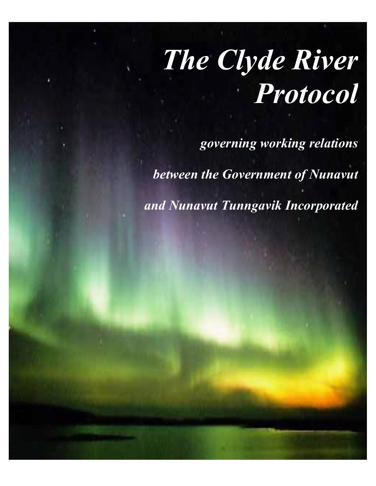# *The Clyde River Protocol*

*governing working relations*

*between the Government of Nunavut*

*and Nunavut Tunngavik Incorporated*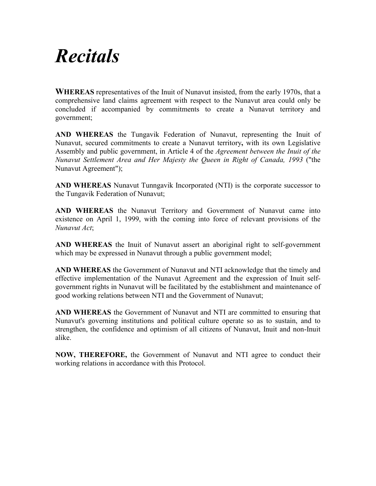### *Recitals*

**WHEREAS** representatives of the Inuit of Nunavut insisted, from the early 1970s, that a comprehensive land claims agreement with respect to the Nunavut area could only be concluded if accompanied by commitments to create a Nunavut territory and government;

**AND WHEREAS** the Tungavik Federation of Nunavut, representing the Inuit of Nunavut, secured commitments to create a Nunavut territory**,** with its own Legislative Assembly and public government, in Article 4 of the *Agreement between the Inuit of the Nunavut Settlement Area and Her Majesty the Queen in Right of Canada, 1993* ("the Nunavut Agreement");

**AND WHEREAS** Nunavut Tunngavik Incorporated (NTI) is the corporate successor to the Tungavik Federation of Nunavut;

**AND WHEREAS** the Nunavut Territory and Government of Nunavut came into existence on April 1, 1999, with the coming into force of relevant provisions of the *Nunavut Act*;

**AND WHEREAS** the Inuit of Nunavut assert an aboriginal right to self-government which may be expressed in Nunavut through a public government model;

**AND WHEREAS** the Government of Nunavut and NTI acknowledge that the timely and effective implementation of the Nunavut Agreement and the expression of Inuit selfgovernment rights in Nunavut will be facilitated by the establishment and maintenance of good working relations between NTI and the Government of Nunavut;

**AND WHEREAS** the Government of Nunavut and NTI are committed to ensuring that Nunavut's governing institutions and political culture operate so as to sustain, and to strengthen, the confidence and optimism of all citizens of Nunavut, Inuit and non-Inuit alike.

**NOW, THEREFORE,** the Government of Nunavut and NTI agree to conduct their working relations in accordance with this Protocol.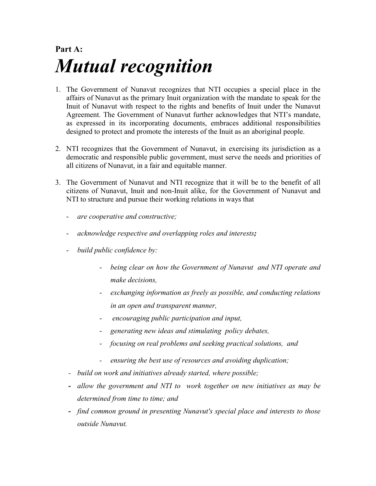### **Part A:** *Mutual recognition*

- 1. The Government of Nunavut recognizes that NTI occupies a special place in the affairs of Nunavut as the primary Inuit organization with the mandate to speak for the Inuit of Nunavut with respect to the rights and benefits of Inuit under the Nunavut Agreement. The Government of Nunavut further acknowledges that NTI's mandate, as expressed in its incorporating documents, embraces additional responsibilities designed to protect and promote the interests of the Inuit as an aboriginal people.
- 2. NTI recognizes that the Government of Nunavut, in exercising its jurisdiction as a democratic and responsible public government, must serve the needs and priorities of all citizens of Nunavut, in a fair and equitable manner.
- 3. The Government of Nunavut and NTI recognize that it will be to the benefit of all citizens of Nunavut, Inuit and non-Inuit alike, for the Government of Nunavut and NTI to structure and pursue their working relations in ways that
	- *are cooperative and constructive;*
	- *acknowledge respective and overlapping roles and interests;*
	- *build public confidence by:*
		- *being clear on how the Government of Nunavut and NTI operate and make decisions,*
		- *exchanging information as freely as possible, and conducting relations in an open and transparent manner,*
		- - *encouraging public participation and input,*
		- *generating new ideas and stimulating policy debates,*
		- *focusing on real problems and seeking practical solutions, and*
		- *ensuring the best use of resources and avoiding duplication;*
	- *build on work and initiatives already started, where possible;*
	- **-** *allow the government and NTI to work together on new initiatives as may be determined from time to time; and*
	- **-** *find common ground in presenting Nunavut's special place and interests to those outside Nunavut.*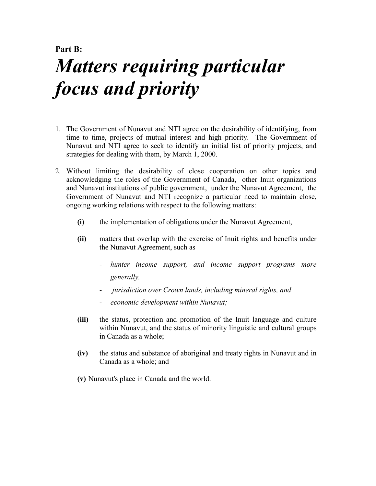### **Part B:** *Matters requiring particular focus and priority*

- 1. The Government of Nunavut and NTI agree on the desirability of identifying, from time to time, projects of mutual interest and high priority.The Government of Nunavut and NTI agree to seek to identify an initial list of priority projects, and strategies for dealing with them, by March 1, 2000.
- 2. Without limiting the desirability of close cooperation on other topics and acknowledging the roles of the Government of Canada, other Inuit organizations and Nunavut institutions of public government, under the Nunavut Agreement,the Government of Nunavut and NTI recognize a particular need to maintain close, ongoing working relations with respect to the following matters:
	- **(i)** the implementation of obligations under the Nunavut Agreement,
	- **(ii)** matters that overlap with the exercise of Inuit rights and benefits under the Nunavut Agreement, such as
		- hunter income support, and income support programs more *generally,*
		- - *jurisdiction over Crown lands, including mineral rights, and*
		- *economic development within Nunavut;*
	- **(iii)** the status, protection and promotion of the Inuit language and culture within Nunavut, and the status of minority linguistic and cultural groups in Canada as a whole;
	- **(iv)** the status and substance of aboriginal and treaty rights in Nunavut and in Canada as a whole; and
	- **(v)** Nunavut's place in Canada and the world.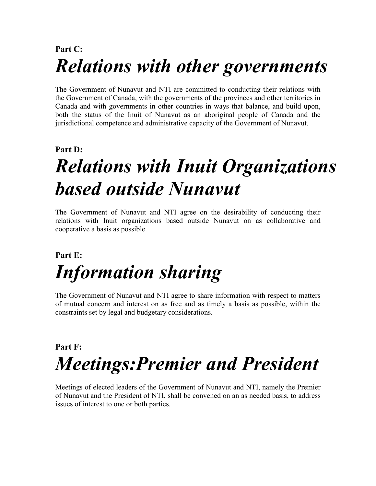### **Part C:** *Relations with other governments*

The Government of Nunavut and NTI are committed to conducting their relations with the Government of Canada, with the governments of the provinces and other territories in Canada and with governments in other countries in ways that balance, and build upon, both the status of the Inuit of Nunavut as an aboriginal people of Canada and the jurisdictional competence and administrative capacity of the Government of Nunavut.

#### **Part D:**

## *Relations with Inuit Organizations based outside Nunavut*

The Government of Nunavut and NTI agree on the desirability of conducting their relations with Inuit organizations based outside Nunavut on as collaborative and cooperative a basis as possible.

### **Part E:** *Information sharing*

The Government of Nunavut and NTI agree to share information with respect to matters of mutual concern and interest on as free and as timely a basis as possible, within the constraints set by legal and budgetary considerations.

### **Part F:** *Meetings:Premier and President*

Meetings of elected leaders of the Government of Nunavut and NTI, namely the Premier of Nunavut and the President of NTI, shall be convened on an as needed basis, to address issues of interest to one or both parties.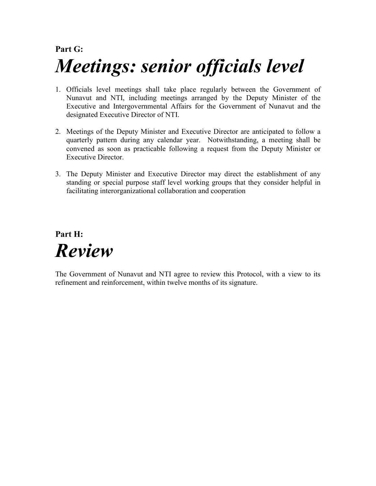### **Part G:** *Meetings: senior officials level*

- 1. Officials level meetings shall take place regularly between the Government of Nunavut and NTI, including meetings arranged by the Deputy Minister of the Executive and Intergovernmental Affairs for the Government of Nunavut and the designated Executive Director of NTI.
- 2. Meetings of the Deputy Minister and Executive Director are anticipated to follow a quarterly pattern during any calendar year. Notwithstanding, a meeting shall be convened as soon as practicable following a request from the Deputy Minister or Executive Director.
- 3. The Deputy Minister and Executive Director may direct the establishment of any standing or special purpose staff level working groups that they consider helpful in facilitating interorganizational collaboration and cooperation

#### **Part H:** *Review*

The Government of Nunavut and NTI agree to review this Protocol, with a view to its refinement and reinforcement, within twelve months of its signature.